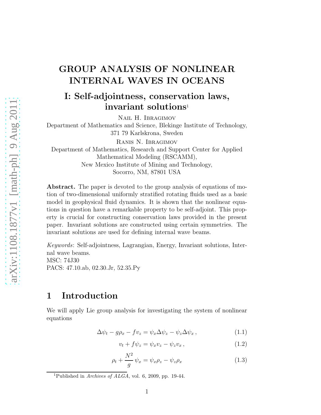## GROUP ANALYSIS OF NONLINEAR INTERNAL WAVES IN OCEANS

## I: Self-adjointness, conservation laws, invariant solutions<sup>1</sup>

Nail H. Ibragimov

Department of Mathematics and Science, Blekinge Institute of Technology, 371 79 Karlskrona, Sweden

Ranis N. Ibragimov Department of Mathematics, Research and Support Center for Applied Mathematical Modeling (RSCAMM), New Mexico Institute of Mining and Technology, Socorro, NM, 87801 USA

Abstract. The paper is devoted to the group analysis of equations of motion of two-dimensional uniformly stratified rotating fluids used as a basic model in geophysical fluid dynamics. It is shown that the nonlinear equations in question have a remarkable property to be self-adjoint. This property is crucial for constructing conservation laws provided in the present paper. Invariant solutions are constructed using certain symmetries. The invariant solutions are used for defining internal wave beams.

Keywords: Self-adjointness, Lagrangian, Energy, Invariant solutions, Internal wave beams. MSC: 74J30 PACS: 47.10.ab, 02.30.Jr, 52.35.Py

## 1 Introduction

We will apply Lie group analysis for investigating the system of nonlinear equations

$$
\Delta \psi_t - g\rho_x - f v_z = \psi_x \Delta \psi_z - \psi_z \Delta \psi_x, \qquad (1.1)
$$

$$
v_t + f\psi_z = \psi_x v_z - \psi_z v_x, \qquad (1.2)
$$

$$
\rho_t + \frac{N^2}{g} \psi_x = \psi_x \rho_z - \psi_z \rho_x \tag{1.3}
$$

<sup>&</sup>lt;sup>1</sup>Published in *Archives of ALGA*, vol. 6, 2009, pp. 19-44.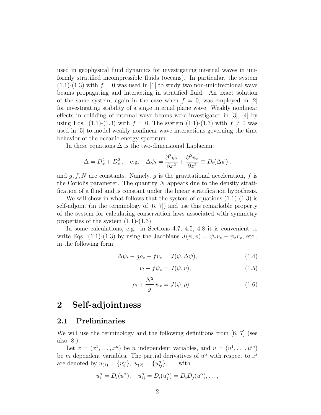used in geophysical fluid dynamics for investigating internal waves in uniformly stratified incompressible fluids (oceans). In particular, the system  $(1.1)-(1.3)$  with  $f = 0$  was used in [1] to study two non-unidirectional wave beams propagating and interacting in stratified fluid. An exact solution of the same system, again in the case when  $f = 0$ , was employed in [2] for investigating stability of a singe internal plane wave. Weakly nonlinear effects in colliding of internal wave beams were investigated in [3], [4] by using Eqs. (1.1)-(1.3) with  $f = 0$ . The system (1.1)-(1.3) with  $f \neq 0$  was used in [5] to model weakly nonlinear wave interactions governing the time behavior of the oceanic energy spectrum.

In these equations  $\Delta$  is the two-dimensional Laplacian:

$$
\Delta = D_x^2 + D_z^2, \quad \text{e.g.} \quad \Delta \psi_t = \frac{\partial^2 \psi_t}{\partial x^2} + \frac{\partial^2 \psi_t}{\partial z^2} \equiv D_t(\Delta \psi),
$$

and  $g, f, N$  are constants. Namely, g is the gravitational acceleration, f is the Coriolis parameter. The quantity  $N$  appears due to the density stratification of a fluid and is constant under the linear stratification hypothesis.

We will show in what follows that the system of equations  $(1.1)-(1.3)$  is self-adjoint (in the terminology of  $[6, 7]$ ) and use this remarkable property of the system for calculating conservation laws associated with symmetry properties of the system  $(1.1)-(1.3)$ .

In some calculations, e.g. in Sections 4.7, 4.5, 4.8 it is convenient to write Eqs. (1.1)-(1.3) by using the Jacobians  $J(\psi, v) = \psi_x v_z - \psi_z v_x$ , etc., in the following form:

$$
\Delta \psi_t - g\rho_x - f v_z = J(\psi, \Delta \psi), \tag{1.4}
$$

$$
v_t + f\psi_z = J(\psi, v),\tag{1.5}
$$

$$
\rho_t + \frac{N^2}{g} \psi_x = J(\psi, \rho). \tag{1.6}
$$

## 2 Self-adjointness

#### 2.1 Preliminaries

We will use the terminology and the following definitions from [6, 7] (see also [8]).

Let  $x = (x^1, \ldots, x^n)$  be *n* independent variables, and  $u = (u^1, \ldots, u^m)$ be m dependent variables. The partial derivatives of  $u^{\alpha}$  with respect to  $x^{i}$ are denoted by  $u_{(1)} = \{u_i^{\alpha}\}, u_{(2)} = \{u_{ij}^{\alpha}\}, \ldots$  with

$$
u_i^{\alpha} = D_i(u^{\alpha}), \quad u_{ij}^{\alpha} = D_i(u_j^{\alpha}) = D_iD_j(u^{\alpha}), \dots,
$$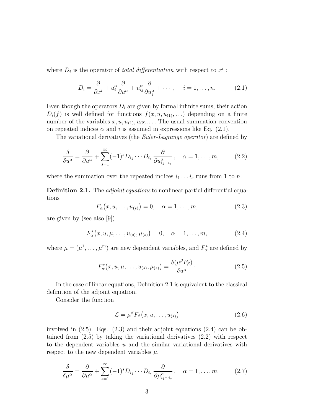where  $D_i$  is the operator of *total differentiation* with respect to  $x^i$ :

$$
D_i = \frac{\partial}{\partial x^i} + u_i^{\alpha} \frac{\partial}{\partial u^{\alpha}} + u_{ij}^{\alpha} \frac{\partial}{\partial u_j^{\alpha}} + \cdots, \quad i = 1, \dots, n. \tag{2.1}
$$

Even though the operators  $D_i$  are given by formal infinite sums, their action  $D_i(f)$  is well defined for functions  $f(x, u, u_{(1)}, ...)$  depending on a finite number of the variables  $x, u, u_{(1)}, u_{(2)}, \ldots$  The usual summation convention on repeated indices  $\alpha$  and i is assumed in expressions like Eq. (2.1).

The variational derivatives (the *Euler-Lagrange operator*) are defined by

$$
\frac{\delta}{\delta u^{\alpha}} = \frac{\partial}{\partial u^{\alpha}} + \sum_{s=1}^{\infty} (-1)^s D_{i_1} \cdots D_{i_s} \frac{\partial}{\partial u_{i_1 \cdots i_s}^{\alpha}}, \quad \alpha = 1, \ldots, m,
$$
 (2.2)

where the summation over the repeated indices  $i_1 \ldots i_s$  runs from 1 to n.

Definition 2.1. The *adjoint equations* to nonlinear partial differential equations

$$
F_{\alpha}(x, u, ..., u_{(s)}) = 0, \quad \alpha = 1, ..., m,
$$
 (2.3)

are given by (see also [9])

$$
F_{\alpha}^{*}(x, u, \mu, \dots, u_{(s)}, \mu_{(s)}) = 0, \quad \alpha = 1, \dots, m,
$$
 (2.4)

where  $\mu = (\mu^1, \dots, \mu^m)$  are new dependent variables, and  $F^*_{\alpha}$  are defined by

$$
F_{\alpha}^*(x, u, \mu, \dots, u_{(s)}, \mu_{(s)}) = \frac{\delta(\mu^{\beta} F_{\beta})}{\delta u^{\alpha}}.
$$
\n(2.5)

In the case of linear equations, Definition 2.1 is equivalent to the classical definition of the adjoint equation.

Consider the function

$$
\mathcal{L} = \mu^{\beta} F_{\beta}(x, u, \dots, u_{(s)}) \tag{2.6}
$$

involved in (2.5). Eqs. (2.3) and their adjoint equations (2.4) can be obtained from (2.5) by taking the variational derivatives (2.2) with respect to the dependent variables  $u$  and the similar variational derivatives with respect to the new dependent variables  $\mu$ ,

$$
\frac{\delta}{\delta \mu^{\alpha}} = \frac{\partial}{\partial \mu^{\alpha}} + \sum_{s=1}^{\infty} (-1)^s D_{i_1} \cdots D_{i_s} \frac{\partial}{\partial \mu_{i_1 \cdots i_s}^{\alpha}}, \quad \alpha = 1, \ldots, m. \tag{2.7}
$$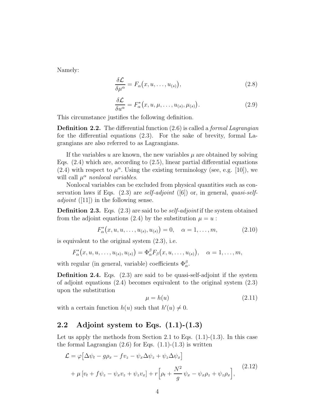Namely:

$$
\frac{\delta \mathcal{L}}{\delta \mu^{\alpha}} = F_{\alpha}(x, u, \dots, u_{(s)}), \tag{2.8}
$$

$$
\frac{\delta \mathcal{L}}{\delta u^{\alpha}} = F_{\alpha}^{*}(x, u, \mu, \dots, u_{(s)}, \mu_{(s)}).
$$
 (2.9)

This circumstance justifies the following definition.

**Definition 2.2.** The differential function  $(2.6)$  is called a *formal Lagrangian* for the differential equations (2.3). For the sake of brevity, formal Lagrangians are also referred to as Lagrangians.

If the variables u are known, the new variables  $\mu$  are obtained by solving Eqs.  $(2.4)$  which are, according to  $(2.5)$ , linear partial differential equations (2.4) with respect to  $\mu^{\alpha}$ . Using the existing terminology (see, e.g. [10]), we will call  $\mu^{\alpha}$  nonlocal variables.

Nonlocal variables can be excluded from physical quantities such as conservation laws if Eqs.  $(2.3)$  are self-adjoint  $([6])$  or, in general, quasi-self*adjoint* ([11]) in the following sense.

**Definition 2.3.** Eqs.  $(2.3)$  are said to be *self-adjoint* if the system obtained from the adjoint equations (2.4) by the substitution  $\mu = u$ :

$$
F_{\alpha}^{*}(x, u, u, \dots, u_{(s)}, u_{(s)}) = 0, \quad \alpha = 1, \dots, m,
$$
 (2.10)

is equivalent to the original system (2.3), i.e.

$$
F_{\alpha}^*(x, u, u, \ldots, u_{(s)}, u_{(s)}) = \Phi_{\alpha}^{\beta} F_{\beta}(x, u, \ldots, u_{(s)}), \quad \alpha = 1, \ldots, m,
$$

with regular (in general, variable) coefficients  $\Phi_{\alpha}^{\beta}$ .

Definition 2.4. Eqs. (2.3) are said to be quasi-self-adjoint if the system of adjoint equations  $(2.4)$  becomes equivalent to the original system  $(2.3)$ upon the substitution

$$
\mu = h(u) \tag{2.11}
$$

with a certain function  $h(u)$  such that  $h'(u) \neq 0$ .

## 2.2 Adjoint system to Eqs.  $(1.1)-(1.3)$

Let us apply the methods from Section 2.1 to Eqs.  $(1.1)-(1.3)$ . In this case the formal Lagrangian  $(2.6)$  for Eqs.  $(1.1)-(1.3)$  is written

$$
\mathcal{L} = \varphi \left[ \Delta \psi_t - g \rho_x - f v_z - \psi_x \Delta \psi_z + \psi_z \Delta \psi_x \right]
$$
  
+ 
$$
\mu \left[ v_t + f \psi_z - \psi_x v_z + \psi_z v_x \right] + r \left[ \rho_t + \frac{N^2}{g} \psi_x - \psi_x \rho_z + \psi_z \rho_x \right],
$$
 (2.12)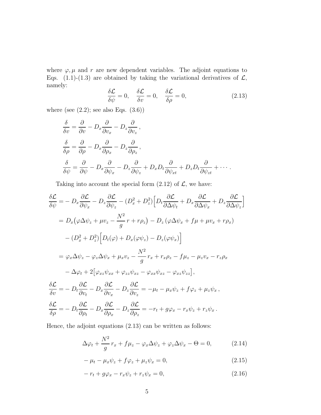where  $\varphi, \mu$  and r are new dependent variables. The adjoint equations to Eqs. (1.1)-(1.3) are obtained by taking the variational derivatives of  $\mathcal{L}$ , namely:

$$
\frac{\delta \mathcal{L}}{\delta \psi} = 0, \quad \frac{\delta \mathcal{L}}{\delta v} = 0, \quad \frac{\delta \mathcal{L}}{\delta \rho} = 0,
$$
\n(2.13)

where (see  $(2.2)$ ; see also Eqs.  $(3.6)$ )

$$
\frac{\delta}{\delta v} = \frac{\partial}{\partial v} - D_x \frac{\partial}{\partial v_x} - D_z \frac{\partial}{\partial v_z},
$$
\n
$$
\frac{\delta}{\delta \rho} = \frac{\partial}{\partial \rho} - D_x \frac{\partial}{\partial \rho_x} - D_z \frac{\partial}{\partial \rho_z},
$$
\n
$$
\frac{\delta}{\delta \psi} = \frac{\partial}{\partial \psi} - D_x \frac{\partial}{\partial \psi_x} - D_z \frac{\partial}{\partial \psi_z} + D_x D_t \frac{\partial}{\partial \psi_{xt}} + D_z D_t \frac{\partial}{\partial \psi_{zt}} + \cdots.
$$

Taking into account the special form  $(2.12)$  of  $\mathcal{L}$ , we have:

$$
\frac{\delta \mathcal{L}}{\delta \psi} = -D_x \frac{\partial \mathcal{L}}{\partial \psi_x} - D_z \frac{\partial \mathcal{L}}{\partial \psi_z} - (D_x^2 + D_z^2) \Big[ D_t \frac{\partial \mathcal{L}}{\partial \Delta \psi_t} + D_x \frac{\partial \mathcal{L}}{\partial \Delta \psi_x} + D_z \frac{\partial \mathcal{L}}{\partial \Delta \psi_z} \Big]
$$
  
\n
$$
= D_x (\varphi \Delta \psi_z + \mu v_z - \frac{N^2}{g} r + r \rho_z) - D_z (\varphi \Delta \psi_x + f \mu + \mu v_x + r \rho_x)
$$
  
\n
$$
- (D_x^2 + D_z^2) \Big[ D_t (\varphi) + D_x (\varphi \psi_z) - D_z (\varphi \psi_x) \Big]
$$
  
\n
$$
= \varphi_x \Delta \psi_z - \varphi_z \Delta \psi_x + \mu_x v_z - \frac{N^2}{g} r_x + r_x \rho_z - f \mu_z - \mu_z v_x - r_z \rho_x
$$
  
\n
$$
- \Delta \varphi_t + 2 \Big[ \varphi_{xz} \psi_{xx} + \varphi_{zz} \psi_{xz} - \varphi_{xx} \psi_{xz} - \varphi_{xz} \psi_{zz} \Big],
$$
  
\n
$$
\frac{\delta \mathcal{L}}{\delta v} = -D_t \frac{\partial \mathcal{L}}{\partial v_t} - D_x \frac{\partial \mathcal{L}}{\partial v_x} - D_z \frac{\partial \mathcal{L}}{\partial v_z} = -\mu_t - \mu_x \psi_z + f \varphi_z + \mu_z \psi_x,
$$
  
\n
$$
\frac{\delta \mathcal{L}}{\delta \rho} = -D_t \frac{\partial \mathcal{L}}{\partial \rho_t} - D_x \frac{\partial \mathcal{L}}{\partial \rho_x} - D_z \frac{\partial \mathcal{L}}{\partial \rho_z} = -r_t + g \varphi_x - r_x \psi_z + r_z \psi_x.
$$

Hence, the adjoint equations (2.13) can be written as follows:

$$
\Delta \varphi_t + \frac{N^2}{g} r_x + f \mu_z - \varphi_x \Delta \psi_z + \varphi_z \Delta \psi_x - \Theta = 0, \qquad (2.14)
$$

$$
-\mu_t - \mu_x \psi_z + f\varphi_z + \mu_z \psi_x = 0, \qquad (2.15)
$$

$$
-r_t + g\varphi_x - r_x\psi_z + r_z\psi_x = 0, \qquad (2.16)
$$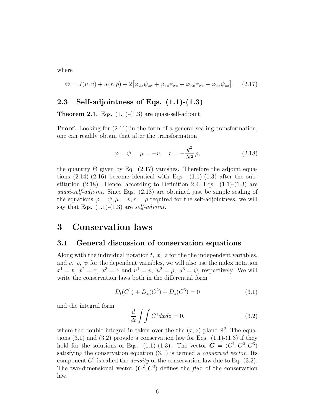where

$$
\Theta = J(\mu, v) + J(r, \rho) + 2[\varphi_{xz}\psi_{xx} + \varphi_{zz}\psi_{xz} - \varphi_{xx}\psi_{xz} - \varphi_{xz}\psi_{zz}].
$$
 (2.17)

#### 2.3 Self-adjointness of Eqs.  $(1.1)$ - $(1.3)$

**Theorem 2.1.** Eqs.  $(1.1)-(1.3)$  are quasi-self-adjoint.

**Proof.** Looking for  $(2.11)$  in the form of a general scaling transformation, one can readily obtain that after the transformation

$$
\varphi = \psi, \quad \mu = -v, \quad r = -\frac{g^2}{N^2} \rho,
$$
\n(2.18)

the quantity  $\Theta$  given by Eq. (2.17) vanishes. Therefore the adjoint equations  $(2.14)-(2.16)$  become identical with Eqs.  $(1.1)-(1.3)$  after the substitution  $(2.18)$ . Hence, according to Definition 2.4, Eqs.  $(1.1)-(1.3)$  are quasi-self-adjoint. Since Eqs. (2.18) are obtained just be simple scaling of the equations  $\varphi = \psi, \mu = v, r = \rho$  required for the self-adjointness, we will say that Eqs.  $(1.1)-(1.3)$  are self-adjoint.

## 3 Conservation laws

#### 3.1 General discussion of conservation equations

Along with the individual notation  $t, x, z$  for the the independent variables, and v,  $\rho$ ,  $\psi$  for the dependent variables, we will also use the index notation  $x^1 = t$ ,  $x^2 = x$ ,  $x^3 = z$  and  $u^1 = v$ ,  $u^2 = \rho$ ,  $u^3 = \psi$ , respectively. We will write the conservation laws both in the differential form

$$
D_t(C^1) + D_x(C^2) + D_z(C^3) = 0 \tag{3.1}
$$

and the integral form

$$
\frac{d}{dt} \int \int C^1 dx dz = 0,\tag{3.2}
$$

where the double integral in taken over the the  $(x, z)$  plane  $\mathbb{R}^2$ . The equations  $(3.1)$  and  $(3.2)$  provide a conservation law for Eqs.  $(1.1)-(1.3)$  if they hold for the solutions of Eqs. (1.1)-(1.3). The vector  $\mathbf{C} = (C^1, C^2, C^3)$ satisfying the conservation equation (3.1) is termed a conserved vector. Its component  $C^1$  is called the *density* of the conservation law due to Eq. (3.2). The two-dimensional vector  $(C^2, C^3)$  defines the *flux* of the conservation law.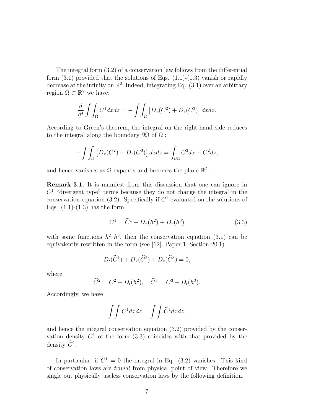The integral form (3.2) of a conservation law follows from the differential form  $(3.1)$  provided that the solutions of Eqs.  $(1.1)-(1.3)$  vanish or rapidly decrease at the infinity on  $\mathbb{R}^2$ . Indeed, integrating Eq.  $(3.1)$  over an arbitrary region  $\Omega \subset \mathbb{R}^2$  we have:

$$
\frac{d}{dt} \int \int_{\Omega} C^1 dx dz = - \int \int_{\Omega} \left[ D_x (C^2) + D_z (C^3) \right] dx dz.
$$

According to Green's theorem, the integral on the right-hand side reduces to the integral along the boundary  $\partial\Omega$  of  $\Omega$ :

$$
-\int\int_{\Omega} \left[ D_x(C^2) + D_z(C^3) \right] dx dz = \int_{\partial \Omega} C^3 dx - C^2 dz,
$$

and hence vanishes as  $\Omega$  expands and becomes the plane  $\mathbb{R}^2$ .

Remark 3.1. It is manifest from this discussion that one can ignore in  $C<sup>1</sup>$  "divergent type" terms because they do not change the integral in the conservation equation (3.2). Specifically if  $C<sup>1</sup>$  evaluated on the solutions of Eqs.  $(1.1)-(1.3)$  has the form

$$
C^{1} = \tilde{C}^{1} + D_{x}(h^{2}) + D_{z}(h^{3})
$$
\n(3.3)

with some functions  $h^2, h^3$ , then the conservation equation (3.1) can be equivalently rewritten in the form (see [12], Paper 1, Section 20.1)

$$
D_t(\widetilde{C}^1) + D_x(\widetilde{C}^2) + D_z(\widetilde{C}^3) = 0,
$$

where

$$
\tilde{C}^2 = C^2 + D_t(h^2), \quad \tilde{C}^3 = C^3 + D_t(h^3).
$$

Accordingly, we have

$$
\int \int C^1 dx dz = \int \int \widetilde{C}^1 dx dz,
$$

and hence the integral conservation equation (3.2) provided by the conservation density  $C^1$  of the form  $(3.3)$  coincides with that provided by the density  $C^1$ .

In particular, if  $\tilde{C}^1 = 0$  the integral in Eq. (3.2) vanishes. This kind of conservation laws are trivial from physical point of view. Therefore we single out physically useless conservation laws by the following definition.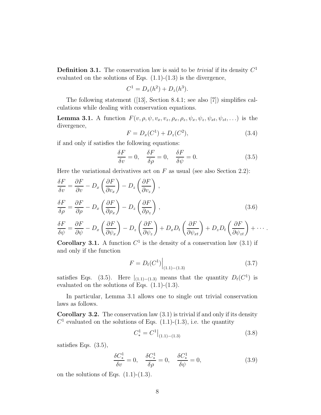**Definition 3.1.** The conservation law is said to be *trivial* if its density  $C<sup>1</sup>$ evaluated on the solutions of Eqs.  $(1.1)-(1.3)$  is the divergence,

$$
C^1 = D_x(h^2) + D_z(h^3).
$$

The following statement ([13], Section 8.4.1; see also [7]) simplifies calculations while dealing with conservation equations.

**Lemma 3.1.** A function  $F(v, \rho, \psi, v_x, v_z, \rho_x, \rho_z, \psi_x, \psi_z, \psi_{xt}, \psi_{zt}, ...)$  is the divergence,

$$
F = D_x(C^1) + D_z(C^2), \tag{3.4}
$$

if and only if satisfies the following equations:

$$
\frac{\delta F}{\delta v} = 0, \quad \frac{\delta F}{\delta \rho} = 0, \quad \frac{\delta F}{\delta \psi} = 0.
$$
\n(3.5)

Here the variational derivatives act on  $F$  as usual (see also Section 2.2):

$$
\frac{\delta F}{\delta v} = \frac{\partial F}{\partial v} - D_x \left( \frac{\partial F}{\partial v_x} \right) - D_z \left( \frac{\partial F}{\partial v_z} \right),
$$
  
\n
$$
\frac{\delta F}{\delta \rho} = \frac{\partial F}{\partial \rho} - D_x \left( \frac{\partial F}{\partial \rho_x} \right) - D_z \left( \frac{\partial F}{\partial \rho_z} \right),
$$
  
\n
$$
\delta F = \frac{\partial F}{\partial \rho} - \frac{\partial F}{\partial \rho} + \frac{\partial F}{\partial \rho} = \frac{\partial F}{\partial \rho} - \frac{\partial F}{\partial \rho} + \frac{\partial F}{\partial \rho} = \frac{\partial F}{\partial \rho} - \frac{\partial F}{\partial \rho} + \frac{\partial F}{\partial \rho} = \frac{\partial F}{\partial \rho} - \frac{\partial F}{\partial \rho} = \frac{\partial F}{\partial \rho} - \frac{\partial F}{\partial \rho} = \frac{\partial F}{\partial \rho} - \frac{\partial F}{\partial \rho} = \frac{\partial F}{\partial \rho} - \frac{\partial F}{\partial \rho} = \frac{\partial F}{\partial \rho} - \frac{\partial F}{\partial \rho} = \frac{\partial F}{\partial \rho} - \frac{\partial F}{\partial \rho} = \frac{\partial F}{\partial \rho} - \frac{\partial F}{\partial \rho} = \frac{\partial F}{\partial \rho} - \frac{\partial F}{\partial \rho} = \frac{\partial F}{\partial \rho} = \frac{\partial F}{\partial \rho} - \frac{\partial F}{\partial \rho} = \frac{\partial F}{\partial \rho} = \frac{\partial F}{\partial \rho} - \frac{\partial F}{\partial \rho} = \frac{\partial F}{\partial \rho} = \frac{\partial F}{\partial \rho} = \frac{\partial F}{\partial \rho} = \frac{\partial F}{\partial \rho} = \frac{\partial F}{\partial \rho} = \frac{\partial F}{\partial \rho} = \frac{\partial F}{\partial \rho} = \frac{\partial F}{\partial \rho} = \frac{\partial F}{\partial \rho} = \frac{\partial F}{\partial \rho} = \frac{\partial F}{\partial \rho} = \frac{\partial F}{\partial \rho} = \frac{\partial F}{\partial \rho} = \frac{\partial F}{\partial \rho} = \frac{\partial F}{\partial \rho} = \frac{\partial F}{\partial \rho} = \frac{\partial F}{\partial \rho} = \frac{\partial F}{\partial \rho} = \frac{\partial F}{\partial \rho} = \frac{\partial F}{\partial
$$

$$
\frac{\delta F}{\delta \psi} = \frac{\partial F}{\partial \psi} - D_x \left( \frac{\partial F}{\partial \psi_x} \right) - D_z \left( \frac{\partial F}{\partial \psi_z} \right) + D_x D_t \left( \frac{\partial F}{\partial \psi_{xt}} \right) + D_z D_t \left( \frac{\partial F}{\partial \psi_{zt}} \right) + \cdots
$$

**Corollary 3.1.** A function  $C^1$  is the density of a conservation law (3.1) if and only if the function

$$
F = D_t(C^1) \Big|_{(1.1) - (1.3)}\tag{3.7}
$$

satisfies Eqs. (3.5). Here  $|_{(1,1)-(1,3)}$  means that the quantity  $D_t(C^1)$  is evaluated on the solutions of Eqs.  $(1.1)-(1.3)$ .

In particular, Lemma 3.1 allows one to single out trivial conservation laws as follows.

**Corollary 3.2.** The conservation law  $(3.1)$  is trivial if and only if its density  $C<sup>1</sup>$  evaluated on the solutions of Eqs. (1.1)-(1.3), i.e. the quantity

$$
C_*^1 = C^1 \big|_{(1.1) - (1.3)} \tag{3.8}
$$

satisfies Eqs. (3.5),

$$
\frac{\delta C_*^1}{\delta v} = 0, \quad \frac{\delta C_*^1}{\delta \rho} = 0, \quad \frac{\delta C_*^1}{\delta \psi} = 0,
$$
\n(3.9)

on the solutions of Eqs.  $(1.1)-(1.3)$ .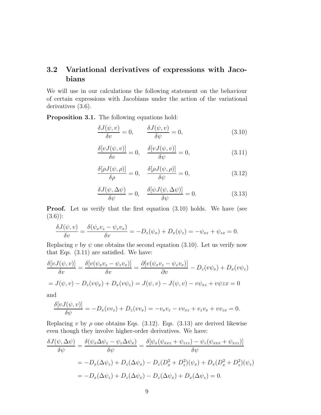## 3.2 Variational derivatives of expressions with Jacobians

We will use in our calculations the following statement on the behaviour of certain expressions with Jacobians under the action of the variational derivatives  $(3.6)$ .

Proposition 3.1. The following equations hold:

$$
\frac{\delta J(\psi, v)}{\delta v} = 0, \qquad \frac{\delta J(\psi, v)}{\delta \psi} = 0,
$$
\n(3.10)

$$
\frac{\delta[vJ(\psi,v)]}{\delta v} = 0, \quad \frac{\delta[vJ(\psi,v)]}{\delta \psi} = 0,
$$
\n(3.11)

$$
\frac{\delta[\rho J(\psi,\rho)]}{\delta\rho} = 0, \quad \frac{\delta[\rho J(\psi,\rho)]}{\delta\psi} = 0,
$$
\n(3.12)

$$
\frac{\delta J(\psi, \Delta \psi)}{\delta \psi} = 0, \quad \frac{\delta[\psi J(\psi, \Delta \psi)]}{\delta \psi} = 0.
$$
\n(3.13)

**Proof.** Let us verify that the first equation  $(3.10)$  holds. We have (see  $(3.6)$ :

$$
\frac{\delta J(\psi, v)}{\delta v} = \frac{\delta(\psi_x v_z - \psi_z v_x)}{\delta v} = -D_z(\psi_x) + D_x(\psi_z) = -\psi_{xz} + \psi_{zx} = 0.
$$

Replacing v by  $\psi$  one obtains the second equation (3.10). Let us verify now that Eqs. (3.11) are satisfied. We have:

$$
\frac{\delta[vJ(\psi,v)]}{\delta v} = \frac{\delta[v(\psi_x v_z - \psi_z v_x)]}{\delta v} = \frac{\partial[v(\psi_x v_z - \psi_z v_x)]}{\partial v} - D_z(v\psi_x) + D_x(v\psi_z)
$$

$$
= J(\psi, v) - D_z(v\psi_x) + D_x(v\psi_z) = J(\psi, v) - J(\psi, v) - v\psi_{xz} + v\psi_{zx} = 0
$$

and

$$
\frac{\delta[vJ(\psi,v)]}{\delta\psi} = -D_x(vv_z) + D_z(vv_x) = -v_xv_z - vv_{xz} + v_zv_x + vv_{zx} = 0.
$$

Replacing v by  $\rho$  one obtains Eqs. (3.12). Eqs. (3.13) are derived likewise even though they involve higher-order derivatives. We have:

$$
\frac{\delta J(\psi, \Delta \psi)}{\delta \psi} = \frac{\delta(\psi_x \Delta \psi_z - \psi_z \Delta \psi_x)}{\delta \psi} = \frac{\delta[\psi_x(\psi_{xxz} + \psi_{zzz}) - \psi_z(\psi_{xxx} + \psi_{xzz})]}{\delta \psi}
$$

$$
= -D_x(\Delta \psi_z) + D_z(\Delta \psi_x) - D_z(D_x^2 + D_z^2)(\psi_x) + D_x(D_x^2 + D_z^2)(\psi_z)
$$

$$
= -D_x(\Delta \psi_z) + D_z(\Delta \psi_x) - D_z(\Delta \psi_x) + D_x(\Delta \psi_z) = 0.
$$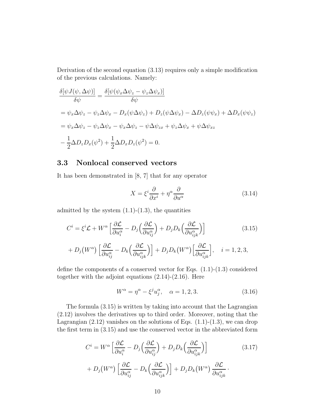Derivation of the second equation (3.13) requires only a simple modification of the previous calculations. Namely:

$$
\frac{\delta[\psi J(\psi, \Delta \psi)]}{\delta \psi} = \frac{\delta[\psi(\psi_x \Delta \psi_z - \psi_z \Delta \psi_x)]}{\delta \psi}
$$
  
=  $\psi_x \Delta \psi_z - \psi_z \Delta \psi_x - D_x(\psi \Delta \psi_z) + D_z(\psi \Delta \psi_x) - \Delta D_z(\psi \psi_x) + \Delta D_x(\psi \psi_z)$   
=  $\psi_x \Delta \psi_z - \psi_z \Delta \psi_x - \psi_x \Delta \psi_z - \psi \Delta \psi_{zx} + \psi_z \Delta \psi_x + \psi \Delta \psi_{xz}$   

$$
- \frac{1}{2} \Delta D_z D_x(\psi^2) + \frac{1}{2} \Delta D_x D_z(\psi^2) = 0.
$$

#### 3.3 Nonlocal conserved vectors

It has been demonstrated in [8, 7] that for any operator

$$
X = \xi^i \frac{\partial}{\partial x^i} + \eta^\alpha \frac{\partial}{\partial u^\alpha} \tag{3.14}
$$

admitted by the system  $(1.1)-(1.3)$ , the quantities

$$
C^{i} = \xi^{i} \mathcal{L} + W^{\alpha} \left[ \frac{\partial \mathcal{L}}{\partial u_{i}^{\alpha}} - D_{j} \left( \frac{\partial \mathcal{L}}{\partial u_{ij}^{\alpha}} \right) + D_{j} D_{k} \left( \frac{\partial \mathcal{L}}{\partial u_{ijk}^{\alpha}} \right) \right]
$$
(3.15)

$$
+ D_j(W^{\alpha}) \left[ \frac{\partial \mathcal{L}}{\partial u_{ij}^{\alpha}} - D_k \left( \frac{\partial \mathcal{L}}{\partial u_{ijk}^{\alpha}} \right) \right] + D_j D_k(W^{\alpha}) \left[ \frac{\partial \mathcal{L}}{\partial u_{ijk}^{\alpha}} \right], \quad i = 1, 2, 3,
$$

define the components of a conserved vector for Eqs. (1.1)-(1.3) considered together with the adjoint equations  $(2.14)-(2.16)$ . Here

$$
W^{\alpha} = \eta^{\alpha} - \xi^{j} u_{j}^{\alpha}, \quad \alpha = 1, 2, 3. \tag{3.16}
$$

The formula (3.15) is written by taking into account that the Lagrangian (2.12) involves the derivatives up to third order. Moreover, noting that the Lagrangian  $(2.12)$  vanishes on the solutions of Eqs.  $(1.1)-(1.3)$ , we can drop the first term in (3.15) and use the conserved vector in the abbreviated form

$$
C^{i} = W^{\alpha} \left[ \frac{\partial \mathcal{L}}{\partial u_{i}^{\alpha}} - D_{j} \left( \frac{\partial \mathcal{L}}{\partial u_{ij}^{\alpha}} \right) + D_{j} D_{k} \left( \frac{\partial \mathcal{L}}{\partial u_{ijk}^{\alpha}} \right) \right]
$$
(3.17)  
+ 
$$
D_{j} \left( W^{\alpha} \right) \left[ \frac{\partial \mathcal{L}}{\partial u_{ij}^{\alpha}} - D_{k} \left( \frac{\partial \mathcal{L}}{\partial u_{ijk}^{\alpha}} \right) \right] + D_{j} D_{k} \left( W^{\alpha} \right) \frac{\partial \mathcal{L}}{\partial u_{ijk}^{\alpha}}.
$$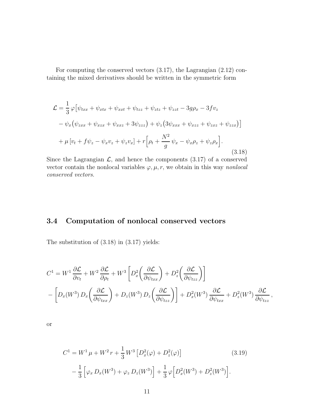For computing the conserved vectors (3.17), the Lagrangian (2.12) containing the mixed derivatives should be written in the symmetric form

$$
\mathcal{L} = \frac{1}{3} \varphi \left[ \psi_{txx} + \psi_{xtx} + \psi_{xxt} + \psi_{tzz} + \psi_{zzt} + \psi_{zzt} - 3g\rho_x - 3fv_z \right. \n- \psi_x (\psi_{zxx} + \psi_{xzx} + \psi_{xxz} + 3\psi_{zzz}) + \psi_z (3\psi_{xxx} + \psi_{xzz} + \psi_{zxz} + \psi_{zzx}) \right] \n+ \mu \left[ v_t + f\psi_z - \psi_x v_z + \psi_z v_x \right] + r \left[ \rho_t + \frac{N^2}{g} \psi_x - \psi_x \rho_z + \psi_z \rho_x \right].
$$
\n(3.18)

Since the Lagrangian  $\mathcal{L}$ , and hence the components (3.17) of a conserved vector contain the nonlocal variables  $\varphi, \mu, r$ , we obtain in this way nonlocal conserved vectors.

## 3.4 Computation of nonlocal conserved vectors

The substitution of (3.18) in (3.17) yields:

$$
C^{1} = W^{1} \frac{\partial \mathcal{L}}{\partial v_{t}} + W^{2} \frac{\partial \mathcal{L}}{\partial \rho_{t}} + W^{3} \left[ D_{x}^{2} \left( \frac{\partial \mathcal{L}}{\partial \psi_{txx}} \right) + D_{z}^{2} \left( \frac{\partial \mathcal{L}}{\partial \psi_{tzz}} \right) \right]
$$
  
- 
$$
\left[ D_{x} (W^{3}) D_{x} \left( \frac{\partial \mathcal{L}}{\partial \psi_{txx}} \right) + D_{z} (W^{3}) D_{z} \left( \frac{\partial \mathcal{L}}{\partial \psi_{tzz}} \right) \right] + D_{x}^{2} (W^{3}) \frac{\partial \mathcal{L}}{\partial \psi_{txx}} + D_{z}^{2} (W^{3}) \frac{\partial \mathcal{L}}{\partial \psi_{tzz}} ,
$$

or

$$
C^{1} = W^{1} \mu + W^{2} r + \frac{1}{3} W^{3} \left[ D_{x}^{2}(\varphi) + D_{z}^{2}(\varphi) \right]
$$
(3.19)  

$$
- \frac{1}{3} \left[ \varphi_{x} D_{x}(W^{3}) + \varphi_{z} D_{z}(W^{3}) \right] + \frac{1}{3} \varphi \left[ D_{x}^{2}(W^{3}) + D_{z}^{2}(W^{3}) \right].
$$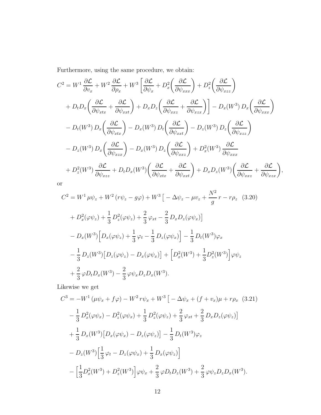Furthermore, using the same procedure, we obtain:

$$
C^{2} = W^{1} \frac{\partial \mathcal{L}}{\partial v_{x}} + W^{2} \frac{\partial \mathcal{L}}{\partial \rho_{x}} + W^{3} \left[ \frac{\partial \mathcal{L}}{\partial \psi_{x}} + D_{x}^{2} \left( \frac{\partial \mathcal{L}}{\partial \psi_{xxx}} \right) + D_{z}^{2} \left( \frac{\partial \mathcal{L}}{\partial \psi_{xzz}} \right) + D_{t} D_{x} \left( \frac{\partial \mathcal{L}}{\partial \psi_{xtx}} + \frac{\partial \mathcal{L}}{\partial \psi_{xxt}} \right) + D_{x} D_{z} \left( \frac{\partial \mathcal{L}}{\partial \psi_{xxx}} + \frac{\partial \mathcal{L}}{\partial \psi_{xzx}} \right) \right] - D_{x} (W^{3}) D_{x} \left( \frac{\partial \mathcal{L}}{\partial \psi_{xxx}} \right) - D_{t} (W^{3}) D_{x} \left( \frac{\partial \mathcal{L}}{\partial \psi_{xtx}} \right) - D_{x} (W^{3}) D_{t} \left( \frac{\partial \mathcal{L}}{\partial \psi_{xxt}} \right) - D_{z} (W^{3}) D_{z} \left( \frac{\partial \mathcal{L}}{\partial \psi_{xzz}} \right) - D_{z} (W^{3}) D_{x} \left( \frac{\partial \mathcal{L}}{\partial \psi_{xxx}} \right) - D_{x} (W^{3}) D_{z} \left( \frac{\partial \mathcal{L}}{\partial \psi_{xxx}} \right) + D_{x}^{2} (W^{3}) \frac{\partial \mathcal{L}}{\partial \psi_{xxx}} + D_{z}^{2} (W^{3}) \frac{\partial \mathcal{L}}{\partial \psi_{xzz}} + D_{t} D_{x} (W^{3}) \left( \frac{\partial \mathcal{L}}{\partial \psi_{xtx}} + \frac{\partial \mathcal{L}}{\partial \psi_{xxt}} \right) + D_{x} D_{z} (W^{3}) \left( \frac{\partial \mathcal{L}}{\partial \psi_{xxz}} + \frac{\partial \mathcal{L}}{\partial \psi_{xzx}} \right),
$$

or

$$
C^{2} = W^{1} \mu \psi_{z} + W^{2} (r\psi_{z} - g\varphi) + W^{3} \left[ -\Delta \psi_{z} - \mu v_{z} + \frac{N^{2}}{g} r - r\rho_{z} \right] (3.20)
$$
  
+  $D_{x}^{2}(\varphi \psi_{z}) + \frac{1}{3} D_{z}^{2}(\varphi \psi_{z}) + \frac{2}{3} \varphi_{xt} - \frac{2}{3} D_{x} D_{z}(\varphi \psi_{x}) \right]$   
-  $D_{x}(W^{3}) \left[ D_{x}(\varphi \psi_{z}) + \frac{1}{3} \varphi_{t} - \frac{1}{3} D_{z}(\varphi \psi_{x}) \right] - \frac{1}{3} D_{t}(W^{3}) \varphi_{x}$   
-  $\frac{1}{3} D_{z}(W^{3}) \left[ D_{z}(\varphi \psi_{z}) - D_{x}(\varphi \psi_{x}) \right] + \left[ D_{x}^{2}(W^{3}) + \frac{1}{3} D_{z}^{2}(W^{3}) \right] \varphi \psi_{z}$   
+  $\frac{2}{3} \varphi D_{t} D_{x}(W^{3}) - \frac{2}{3} \varphi \psi_{x} D_{z} D_{x}(W^{3}).$ 

Likewise we get

$$
C^{3} = -W^{1} (\mu \psi_{x} + f\varphi) - W^{2} r \psi_{x} + W^{3} [-\Delta \psi_{x} + (f + v_{x})\mu + r\rho_{x} (3.21)
$$
  

$$
- \frac{1}{3} D_{x}^{2}(\varphi \psi_{x}) - D_{z}^{2}(\varphi \psi_{x}) + \frac{1}{3} D_{z}^{2}(\varphi \psi_{z}) + \frac{2}{3} \varphi_{xt} + \frac{2}{3} D_{x} D_{z}(\varphi \psi_{z})]
$$
  

$$
+ \frac{1}{3} D_{x} (W^{3}) [D_{x}(\varphi \psi_{x}) - D_{z}(\varphi \psi_{z})] - \frac{1}{3} D_{t} (W^{3}) \varphi_{z}
$$
  

$$
- D_{z} (W^{3}) [\frac{1}{3} \varphi_{t} - D_{z}(\varphi \psi_{x}) + \frac{1}{3} D_{x}(\varphi \psi_{z})]
$$
  

$$
- [\frac{1}{3} D_{x}^{2} (W^{3}) + D_{z}^{2} (W^{3})] \varphi \psi_{x} + \frac{2}{3} \varphi D_{t} D_{z} (W^{3}) + \frac{2}{3} \varphi \psi_{z} D_{z} D_{x} (W^{3}).
$$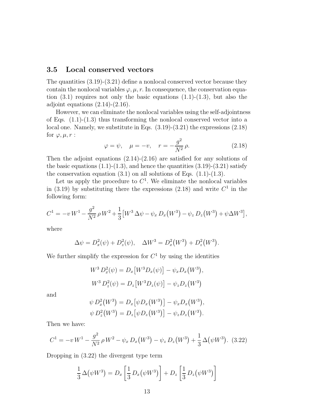#### 3.5 Local conserved vectors

The quantities  $(3.19)-(3.21)$  define a nonlocal conserved vector because they contain the nonlocal variables  $\varphi, \mu, r$ . In consequence, the conservation equation  $(3.1)$  requires not only the basic equations  $(1.1)-(1.3)$ , but also the adjoint equations  $(2.14)-(2.16)$ .

However, we can eliminate the nonlocal variables using the self-adjointness of Eqs.  $(1.1)-(1.3)$  thus transforming the nonlocal conserved vector into a local one. Namely, we substitute in Eqs. (3.19)-(3.21) the expressions (2.18) for  $\varphi, \mu, r$  :

$$
\varphi = \psi, \quad \mu = -v, \quad r = -\frac{g^2}{N^2} \rho.
$$
\n(2.18)

Then the adjoint equations  $(2.14)-(2.16)$  are satisfied for any solutions of the basic equations  $(1.1)-(1.3)$ , and hence the quantities  $(3.19)-(3.21)$  satisfy the conservation equation  $(3.1)$  on all solutions of Eqs.  $(1.1)-(1.3)$ .

Let us apply the procedure to  $C<sup>1</sup>$ . We eliminate the nonlocal variables in (3.19) by substituting there the expressions (2.18) and write  $C^1$  in the following form:

$$
C^{1} = -v W^{1} - \frac{g^{2}}{N^{2}} \rho W^{2} + \frac{1}{3} \left[ W^{3} \Delta \psi - \psi_{x} D_{x} (W^{3}) - \psi_{z} D_{z} (W^{3}) + \psi \Delta W^{3} \right],
$$

where

$$
\Delta \psi = D_x^2(\psi) + D_z^2(\psi), \quad \Delta W^3 = D_x^2(W^3) + D_z^2(W^3).
$$

We further simplify the expression for  $C<sup>1</sup>$  by using the identities

$$
W^3 D_x^2(\psi) = D_x[W^3 D_x(\psi)] - \psi_x D_x(W^3),
$$
  

$$
W^3 D_z^2(\psi) = D_z[W^3 D_z(\psi)] - \psi_z D_z(W^3)
$$

and

$$
\psi D_x^2(W^3) = D_x [\psi D_x(W^3)] - \psi_x D_x(W^3),
$$
  

$$
\psi D_z^2(W^3) = D_z [\psi D_z(W^3)] - \psi_z D_z(W^3).
$$

Then we have:

$$
C^{1} = -v W^{1} - \frac{g^{2}}{N^{2}} \rho W^{2} - \psi_{x} D_{x}(W^{3}) - \psi_{z} D_{z}(W^{3}) + \frac{1}{3} \Delta(\psi W^{3}).
$$
 (3.22)

Dropping in (3.22) the divergent type term

$$
\frac{1}{3}\,\Delta\big(\psi W^3\big) = D_x \left[\frac{1}{3}\,D_x\big(\psi W^3\big)\right] + D_z \left[\frac{1}{3}\,D_z\big(\psi W^3\big)\right]
$$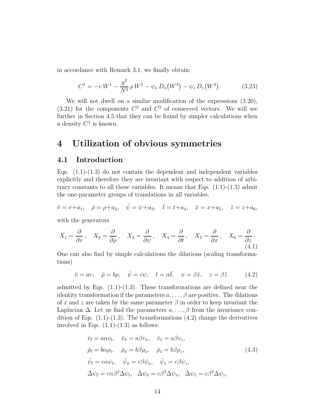in accordance with Remark 3.1, we finally obtain:

$$
C^{1} = -v W^{1} - \frac{g^{2}}{N^{2}} \rho W^{2} - \psi_{x} D_{x}(W^{3}) - \psi_{z} D_{z}(W^{3}). \qquad (3.23)
$$

We will not dwell on a similar modification of the expressions (3.20),  $(3.21)$  for the components  $C^2$  and  $C^3$  of conserved vectors. We will see further in Section 4.5 that they can be found by simpler calculations when a density  $C^1$  is known.

## 4 Utilization of obvious symmetries

#### 4.1 Introduction

Eqs.  $(1.1)-(1.3)$  do not contain the dependent and independent variables explicitly and therefore they are invariant with respect to addition of arbitrary constants to all these variables. It means that Eqs.  $(1.1)-(1.3)$  admit the one-parameter groups of translations in all variables,

$$
\bar{v} = v + a_1, \quad \bar{\rho} = \rho + a_2, \quad \bar{\psi} = \psi + a_3, \quad \bar{t} = t + a_4, \quad \bar{x} = x + a_5, \quad \bar{z} = z + a_6,
$$

with the generators

$$
X_1 = \frac{\partial}{\partial v}, \quad X_2 = \frac{\partial}{\partial \rho}, \quad X_3 = \frac{\partial}{\partial \psi}, \quad X_4 = \frac{\partial}{\partial t}, \quad X_5 = \frac{\partial}{\partial x}, \quad X_6 = \frac{\partial}{\partial z}.
$$
\n
$$
(4.1)
$$

One can also find by simple calculations the dilations (scaling transformations)

$$
\bar{v} = av, \quad \bar{\rho} = b\rho, \quad \bar{\psi} = c\psi, \quad t = \alpha \bar{t}, \quad x = \beta \bar{x}, \quad z = \beta \bar{z}
$$
\n(4.2)

admitted by Eqs.  $(1.1)-(1.3)$ . These transformations are defined near the identity transformation if the parameters  $a, \ldots, \beta$  are positive. The dilations of x and z are taken by the same parameter  $\beta$  in order to keep invariant the Laplacian  $\Delta$ . Let us find the parameters  $a, \ldots, \beta$  from the invariance condition of Eqs.  $(1.1)-(1.3)$ . The transformations  $(4.2)$  change the derivatives involved in Eqs.  $(1.1)-(1.3)$  as follows:

$$
\bar{v}_{\bar{t}} = a\alpha v_t, \quad \bar{v}_{\bar{x}} = a\beta v_x, \quad \bar{v}_{\bar{z}} = a\beta v_z,
$$
\n
$$
\bar{\rho}_{\bar{t}} = b\alpha \rho_t, \quad \bar{\rho}_{\bar{x}} = b\beta \rho_x, \quad \bar{\rho}_{\bar{z}} = b\beta \rho_z,
$$
\n
$$
\bar{\psi}_{\bar{t}} = c\alpha \psi_t, \quad \bar{\psi}_{\bar{x}} = c\beta \psi_x, \quad \bar{\psi}_{\bar{z}} = c\beta \psi_z,
$$
\n
$$
\bar{\Delta}\psi_{\bar{t}} = c\alpha \beta^2 \Delta \psi_t, \quad \bar{\Delta}\psi_{\bar{x}} = c\beta^3 \Delta \psi_x, \quad \bar{\Delta}\psi_{\bar{z}} = c\beta^3 \Delta \psi_z,
$$
\n(4.3)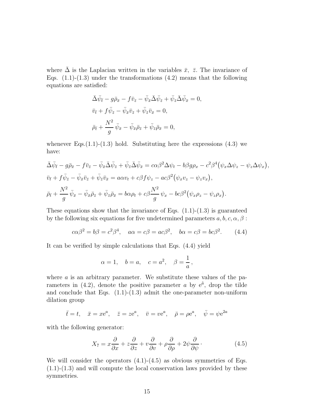where  $\Delta$  is the Laplacian written in the variables  $\bar{x}$ ,  $\bar{z}$ . The invariance of Eqs.  $(1.1)-(1.3)$  under the transformations  $(4.2)$  means that the following equations are satisfied:

$$
\bar{\Delta}\bar{\psi}_{\bar{t}} - g\bar{\rho}_{\bar{x}} - f\bar{v}_{\bar{z}} - \bar{\psi}_{\bar{x}}\bar{\Delta}\bar{\psi}_{\bar{z}} + \bar{\psi}_{\bar{z}}\bar{\Delta}\bar{\psi}_{\bar{x}} = 0,
$$
  

$$
\bar{v}_{\bar{t}} + f\bar{\psi}_{\bar{z}} - \bar{\psi}_{\bar{x}}\bar{v}_{\bar{z}} + \bar{\psi}_{\bar{z}}\bar{v}_{\bar{x}} = 0,
$$
  

$$
\bar{\rho}_{\bar{t}} + \frac{N^2}{g}\bar{\psi}_{\bar{x}} - \bar{\psi}_{\bar{x}}\bar{\rho}_{\bar{z}} + \bar{\psi}_{\bar{z}}\bar{\rho}_{\bar{x}} = 0,
$$

whenever Eqs. $(1.1)-(1.3)$  hold. Substituting here the expressions  $(4.3)$  we have:

$$
\overline{\Delta}\bar{\psi}_{\overline{t}} - g\overline{\rho}_{\overline{x}} - f\overline{v}_{\overline{z}} - \overline{\psi}_{\overline{x}}\overline{\Delta}\bar{\psi}_{\overline{z}} + \overline{\psi}_{\overline{z}}\overline{\Delta}\bar{\psi}_{\overline{x}} = c\alpha\beta^2\Delta\psi_t - b\beta g\rho_x - c^2\beta^4(\psi_x\Delta\psi_z - \psi_z\Delta\psi_x),
$$
  

$$
\overline{v}_{\overline{t}} + f\overline{\psi}_{\overline{z}} - \overline{\psi}_{\overline{x}}\overline{v}_{\overline{z}} + \overline{\psi}_{\overline{z}}\overline{v}_{\overline{x}} = a\alpha v_t + c\beta f\psi_z - ac\beta^2(\psi_xv_z - \psi_zv_x),
$$
  

$$
\overline{\rho}_{\overline{t}} + \frac{N^2}{g}\overline{\psi}_{\overline{x}} - \overline{\psi}_{\overline{x}}\overline{\rho}_{\overline{z}} + \overline{\psi}_{\overline{z}}\overline{\rho}_{\overline{x}} = b\alpha\rho_t + c\beta\frac{N^2}{g}\psi_x - bc\beta^2(\psi_x\rho_z - \psi_z\rho_x).
$$

These equations show that the invariance of Eqs.  $(1.1)-(1.3)$  is guaranteed by the following six equations for five undetermined parameters  $a, b, c, \alpha, \beta$ :

$$
c\alpha\beta^2 = b\beta = c^2\beta^4
$$
,  $a\alpha = c\beta = ac\beta^2$ ,  $b\alpha = c\beta = bc\beta^2$ . (4.4)

It can be verified by simple calculations that Eqs. (4.4) yield

$$
\alpha = 1, \quad b = a, \quad c = a^2, \quad \beta = \frac{1}{a},
$$

where  $\alpha$  is an arbitrary parameter. We substitute these values of the parameters in  $(4.2)$ , denote the positive parameter a by  $e^{\tilde{a}}$ , drop the tilde and conclude that Eqs.  $(1.1)-(1.3)$  admit the one-parameter non-uniform dilation group

$$
\bar{t} = t
$$
,  $\bar{x} = xe^a$ ,  $\bar{z} = ze^a$ ,  $\bar{v} = ve^a$ ,  $\bar{\rho} = \rho e^a$ ,  $\bar{\psi} = \psi e^{2a}$ 

with the following generator:

$$
X_7 = x\frac{\partial}{\partial x} + z\frac{\partial}{\partial z} + v\frac{\partial}{\partial v} + \rho\frac{\partial}{\partial \rho} + 2\psi\frac{\partial}{\partial \psi}.
$$
 (4.5)

We will consider the operators  $(4.1)-(4.5)$  as obvious symmetries of Eqs.  $(1.1)-(1.3)$  and will compute the local conservation laws provided by these symmetries.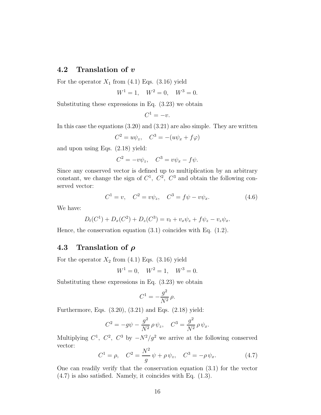#### 4.2 Translation of v

For the operator  $X_1$  from (4.1) Eqs. (3.16) yield

$$
W^1 = 1, \quad W^2 = 0, \quad W^3 = 0.
$$

Substituting these expressions in Eq. (3.23) we obtain

$$
C^1=-v.
$$

In this case the equations (3.20) and (3.21) are also simple. They are written

$$
C^2 = u\psi_z, \quad C^3 = -(u\psi_x + f\varphi)
$$

and upon using Eqs. (2.18) yield:

$$
C^2 = -v\psi_z, \quad C^3 = v\psi_x - f\psi.
$$

Since any conserved vector is defined up to multiplication by an arbitrary constant, we change the sign of  $C^1$ ,  $C^2$ ,  $C^3$  and obtain the following conserved vector:

$$
C^{1} = v, \quad C^{2} = v\psi_{z}, \quad C^{3} = f\psi - v\psi_{x}.
$$
 (4.6)

We have:

$$
D_t(C^1) + D_x(C^2) + D_z(C^3) = v_t + v_x \psi_z + f \psi_z - v_z \psi_x.
$$

Hence, the conservation equation (3.1) coincides with Eq. (1.2).

#### 4.3 Translation of  $\rho$

For the operator  $X_2$  from (4.1) Eqs. (3.16) yield

$$
W^1 = 0, \quad W^2 = 1, \quad W^3 = 0.
$$

Substituting these expressions in Eq. (3.23) we obtain

$$
C^1 = -\frac{g^2}{N^2} \rho.
$$

Furthermore, Eqs. (3.20), (3.21) and Eqs. (2.18) yield:

$$
C^{2} = -g\psi - \frac{g^{2}}{N^{2}}\rho \psi_{z}, \quad C^{3} = \frac{g^{2}}{N^{2}}\rho \psi_{x}.
$$

Multiplying  $C^1$ ,  $C^2$ ,  $C^3$  by  $-N^2/g^2$  we arrive at the following conserved vector:

$$
C^{1} = \rho, \quad C^{2} = \frac{N^{2}}{g} \psi + \rho \psi_{z}, \quad C^{3} = -\rho \psi_{x}.
$$
 (4.7)

One can readily verify that the conservation equation (3.1) for the vector (4.7) is also satisfied. Namely, it coincides with Eq. (1.3).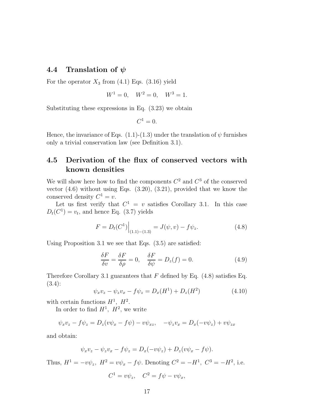#### 4.4 Translation of  $\psi$

For the operator  $X_3$  from (4.1) Eqs. (3.16) yield

$$
W^1 = 0, \quad W^2 = 0, \quad W^3 = 1.
$$

Substituting these expressions in Eq. (3.23) we obtain

$$
C^1=0.
$$

Hence, the invariance of Eqs.  $(1.1)-(1.3)$  under the translation of  $\psi$  furnishes only a trivial conservation law (see Definition 3.1).

## 4.5 Derivation of the flux of conserved vectors with known densities

We will show here how to find the components  $C^2$  and  $C^3$  of the conserved vector  $(4.6)$  without using Eqs.  $(3.20)$ ,  $(3.21)$ , provided that we know the conserved density  $C^1 = v$ .

Let us first verify that  $C^1 = v$  satisfies Corollary 3.1. In this case  $D_t(C^1) = v_t$ , and hence Eq. (3.7) yields

$$
F = D_t(C^1) \Big|_{(1.1) - (1.3)} = J(\psi, v) - f\psi_z.
$$
 (4.8)

Using Proposition 3.1 we see that Eqs. (3.5) are satisfied:

$$
\frac{\delta F}{\delta v} = \frac{\delta F}{\delta \rho} = 0, \quad \frac{\delta F}{\delta \psi} = D_z(f) = 0.
$$
\n(4.9)

Therefore Corollary 3.1 guarantees that F defined by Eq.  $(4.8)$  satisfies Eq. (3.4):

$$
\psi_x v_z - \psi_z v_x - f \psi_z = D_x(H^1) + D_z(H^2)
$$
\n(4.10)

with certain functions  $H^1$ ,  $H^2$ .

In order to find  $H^1$ ,  $H^2$ , we write

$$
\psi_x v_z - f \psi_z = D_z (v \psi_x - f \psi) - v \psi_{xz}, \quad -\psi_z v_x = D_x (-v \psi_z) + v \psi_{zx}
$$

and obtain:

$$
\psi_x v_z - \psi_z v_x - f \psi_z = D_x(-v\psi_z) + D_z(v\psi_x - f\psi).
$$

Thus,  $H^1 = -v\psi_z$ ,  $H^2 = v\psi_x - f\psi$ . Denoting  $C^2 = -H^1$ ,  $C^3 = -H^2$ , i.e.

$$
C^1 = v\psi_z, \quad C^2 = f\psi - v\psi_x,
$$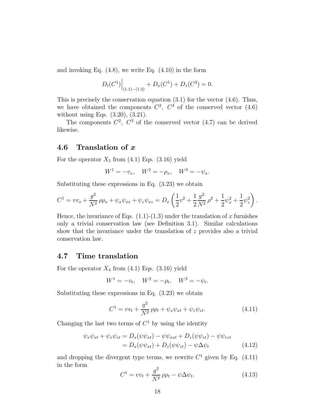and invoking Eq. (4.8), we write Eq. (4.10) in the form

$$
D_t(C^1)\Big|_{(1.1)-(1.3)} + D_x(C^1) + D_z(C^2) = 0.
$$

This is precisely the conservation equation (3.1) for the vector (4.6). Thus, we have obtained the components  $C^2$ ,  $C^3$  of the conserved vector (4.6) without using Eqs. (3.20), (3.21).

The components  $C^2$ ,  $C^3$  of the conserved vector (4.7) can be derived likewise.

#### 4.6 Translation of x

For the operator  $X_5$  from (4.1) Eqs. (3.16) yield

$$
W^1 = -v_x, \quad W^2 = -\rho_x, \quad W^3 = -\psi_x.
$$

Substituting these expressions in Eq. (3.23) we obtain

$$
C^{1} = v v_x + \frac{g^2}{N^2} \rho \rho_x + \psi_x \psi_{xx} + \psi_z \psi_{xz} = D_x \left( \frac{1}{2} v^2 + \frac{1}{2} \frac{g^2}{N^2} \rho^2 + \frac{1}{2} \psi_x^2 + \frac{1}{2} \psi_z^2 \right).
$$

Hence, the invariance of Eqs.  $(1.1)-(1.3)$  under the translation of x furnishes only a trivial conservation law (see Definition 3.1). Similar calculations show that the invariance under the translation of  $z$  provides also a trivial conservation law.

#### 4.7 Time translation

For the operator  $X_4$  from (4.1) Eqs. (3.16) yield

$$
W^1 = -v_t, \quad W^2 = -\rho_t, \quad W^3 = -\psi_t.
$$

Substituting these expressions in Eq. (3.23) we obtain

$$
C^{1} = v v_{t} + \frac{g^{2}}{N^{2}} \rho \rho_{t} + \psi_{x} \psi_{xt} + \psi_{z} \psi_{zt}.
$$
 (4.11)

Changing the last two terms of  $C<sup>1</sup>$  by using the identity

$$
\psi_x \psi_{xt} + \psi_z \psi_{zt} = D_x(\psi \psi_{xt}) - \psi \psi_{xxt} + D_z(\psi \psi_{zt}) - \psi \psi_{zzt}
$$
  
= 
$$
D_x(\psi \psi_{xt}) + D_z(\psi \psi_{zt}) - \psi \Delta \psi_t
$$
 (4.12)

and dropping the divergent type terms, we rewrite  $C<sup>1</sup>$  given by Eq. (4.11) in the form

$$
C^{1} = v v_{t} + \frac{g^{2}}{N^{2}} \rho \rho_{t} - \psi \Delta \psi_{t}.
$$
\n(4.13)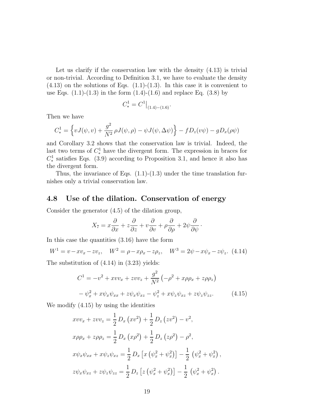Let us clarify if the conservation law with the density (4.13) is trivial or non-trivial. According to Definition 3.1, we have to evaluate the density  $(4.13)$  on the solutions of Eqs.  $(1.1)-(1.3)$ . In this case it is convenient to use Eqs.  $(1.1)-(1.3)$  in the form  $(1.4)-(1.6)$  and replace Eq.  $(3.8)$  by

$$
C_*^1 = C^1|_{(1.4)-(1.6)}.
$$

Then we have

$$
C_*^1 = \left\{ vJ(\psi, v) + \frac{g^2}{N^2} \rho J(\psi, \rho) - \psi J(\psi, \Delta \psi) \right\} - fD_z(v\psi) - gD_x(\rho \psi)
$$

and Corollary 3.2 shows that the conservation law is trivial. Indeed, the last two terms of  $C_*^1$  have the divergent form. The expression in braces for  $C_*^1$  satisfies Eqs. (3.9) according to Proposition 3.1, and hence it also has the divergent form.

Thus, the invariance of Eqs.  $(1.1)-(1.3)$  under the time translation furnishes only a trivial conservation law.

#### 4.8 Use of the dilation. Conservation of energy

Consider the generator (4.5) of the dilation group,

$$
X_7 = x\frac{\partial}{\partial x} + z\frac{\partial}{\partial z} + v\frac{\partial}{\partial v} + \rho\frac{\partial}{\partial \rho} + 2\psi\frac{\partial}{\partial \psi}.
$$

In this case the quantities (3.16) have the form

$$
W^{1} = v - xv_{x} - zv_{z}, \quad W^{2} = \rho - x\rho_{x} - z\rho_{z}, \quad W^{3} = 2\psi - x\psi_{x} - z\psi_{z}. \tag{4.14}
$$

The substitution of (4.14) in (3.23) yields:

$$
C^{1} = -v^{2} + xvv_{x} + zvv_{z} + \frac{g^{2}}{N^{2}} \left( -\rho^{2} + x\rho\rho_{x} + z\rho\rho_{z} \right)
$$

$$
- \psi_{x}^{2} + x\psi_{x}\psi_{xx} + z\psi_{x}\psi_{xz} - \psi_{z}^{2} + x\psi_{z}\psi_{xz} + z\psi_{z}\psi_{zz}. \qquad (4.15)
$$

We modify (4.15) by using the identities

$$
xvv_x + zvv_z = \frac{1}{2} D_x (xv^2) + \frac{1}{2} D_z (zv^2) - v^2,
$$
  
\n
$$
x\rho \rho_x + z\rho \rho_z = \frac{1}{2} D_x (x\rho^2) + \frac{1}{2} D_z (z\rho^2) - \rho^2,
$$
  
\n
$$
x\psi_x \psi_{xx} + x\psi_z \psi_{xz} = \frac{1}{2} D_x [x (\psi_x^2 + \psi_x^2)] - \frac{1}{2} (\psi_x^2 + \psi_x^2),
$$
  
\n
$$
z\psi_x \psi_{xz} + z\psi_z \psi_{zz} = \frac{1}{2} D_z [z (\psi_x^2 + \psi_x^2)] - \frac{1}{2} (\psi_x^2 + \psi_x^2).
$$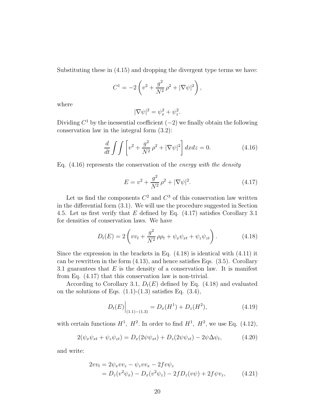Substituting these in (4.15) and dropping the divergent type terms we have:

$$
C^{1} = -2\left(v^{2} + \frac{g^{2}}{N^{2}}\rho^{2} + |\nabla\psi|^{2}\right),
$$

where

$$
|\nabla \psi|^2 = \psi_x^2 + \psi_z^2.
$$

Dividing  $C^1$  by the inessential coefficient  $(-2)$  we finally obtain the following conservation law in the integral form (3.2):

$$
\frac{d}{dt} \int \int \left[ v^2 + \frac{g^2}{N^2} \rho^2 + |\nabla \psi|^2 \right] dx dz = 0.
$$
 (4.16)

Eq.  $(4.16)$  represents the conservation of the *energy with the density* 

$$
E = v^2 + \frac{g^2}{N^2} \rho^2 + |\nabla \psi|^2.
$$
 (4.17)

Let us find the components  $C^2$  and  $C^3$  of this conservation law written in the differential form (3.1). We will use the procedure suggested in Section 4.5. Let us first verify that  $E$  defined by Eq.  $(4.17)$  satisfies Corollary 3.1 for densities of conservation laws. We have

$$
D_t(E) = 2\left(vv_t + \frac{g^2}{N^2}\rho\rho_t + \psi_x\psi_{xt} + \psi_z\psi_{zt}\right).
$$
 (4.18)

Since the expression in the brackets in Eq.  $(4.18)$  is identical with  $(4.11)$  it can be rewritten in the form (4.13), and hence satisfies Eqs. (3.5). Corollary 3.1 guarantees that  $E$  is the density of a conservation law. It is manifest from Eq. (4.17) that this conservation law is non-trivial.

According to Corollary 3.1,  $D_t(E)$  defined by Eq. (4.18) and evaluated on the solutions of Eqs.  $(1.1)-(1.3)$  satisfies Eq.  $(3.4)$ ,

$$
D_t(E)\Big|_{(1.1)-(1.3)} = D_x(H^1) + D_z(H^2),\tag{4.19}
$$

with certain functions  $H^1$ ,  $H^2$ . In order to find  $H^1$ ,  $H^2$ , we use Eq. (4.12),

$$
2(\psi_x \psi_{xt} + \psi_z \psi_{zt}) = D_x(2\psi \psi_{xt}) + D_z(2\psi \psi_{zt}) - 2\psi \Delta \psi_t, \qquad (4.20)
$$

and write:

$$
2vv_t = 2\psi_x vv_z - \psi_z vv_x - 2fv\psi_z = D_z(v^2\psi_x) - D_x(v^2\psi_z) - 2fD_z(v\psi) + 2f\psi v_z,
$$
(4.21)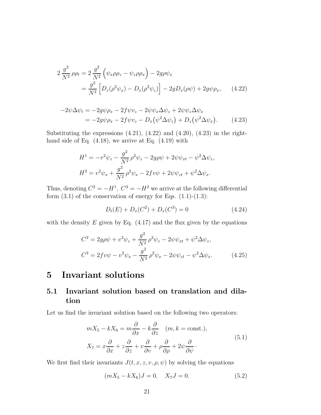$$
2 \frac{g^2}{N^2} \rho \rho_t = 2 \frac{g^2}{N^2} \left( \psi_x \rho \rho_z - \psi_z \rho \rho_x \right) - 2g \rho \psi_x = \frac{g^2}{N^2} \left[ D_z (\rho^2 \psi_x) - D_x (\rho^2 \psi_z) \right] - 2g D_x (\rho \psi) + 2g \psi \rho_x, \quad (4.22)
$$

$$
-2\psi \Delta \psi_t = -2g\psi \rho_x - 2f\psi v_z - 2\psi \psi_x \Delta \psi_z + 2\psi \psi_z \Delta \psi_x
$$
  
= 
$$
-2g\psi \rho_x - 2f\psi v_z - D_x(\psi^2 \Delta \psi_z) + D_z(\psi^2 \Delta \psi_x).
$$
 (4.23)

Substituting the expressions  $(4.21)$ ,  $(4.22)$  and  $(4.20)$ ,  $(4.23)$  in the righthand side of Eq. (4.18), we arrive at Eq. (4.19) with

$$
H^{1} = -v^{2}\psi_{z} - \frac{g^{2}}{N^{2}}\rho^{2}\psi_{z} - 2g\rho\psi + 2\psi\psi_{xt} - \psi^{2}\Delta\psi_{z},
$$
  

$$
H^{2} = v^{2}\psi_{x} + \frac{g^{2}}{N^{2}}\rho^{2}\psi_{x} - 2fv\psi + 2\psi\psi_{zt} + \psi^{2}\Delta\psi_{x}.
$$

Thus, denoting  $C^2 = -H^1$ ,  $C^3 = -H^2$  we arrive at the following differential form  $(3.1)$  of the conservation of energy for Eqs.  $(1.1)-(1.3)$ :

$$
D_t(E) + D_x(C^2) + D_x(C^3) = 0 \tag{4.24}
$$

with the density  $E$  given by Eq.  $(4.17)$  and the flux given by the equations

$$
C^{2} = 2g\rho\psi + v^{2}\psi_{z} + \frac{g^{2}}{N^{2}}\rho^{2}\psi_{z} - 2\psi\psi_{xt} + \psi^{2}\Delta\psi_{z},
$$
  

$$
C^{3} = 2f v\psi - v^{2}\psi_{x} - \frac{g^{2}}{N^{2}}\rho^{2}\psi_{x} - 2\psi\psi_{zt} - \psi^{2}\Delta\psi_{x}. \qquad (4.25)
$$

## 5 Invariant solutions

## 5.1 Invariant solution based on translation and dilation

Let us find the invariant solution based on the following two operators:

$$
mX_5 - kX_6 = m\frac{\partial}{\partial x} - k\frac{\partial}{\partial z} \quad (m, k = \text{const.}),
$$
  

$$
X_7 = x\frac{\partial}{\partial x} + z\frac{\partial}{\partial z} + v\frac{\partial}{\partial v} + \rho\frac{\partial}{\partial \rho} + 2\psi\frac{\partial}{\partial \psi}.
$$
 (5.1)

We first find their invariants  $J(t, x, z, v, \rho, \psi)$  by solving the equations

$$
(mX_5 - kX_6)J = 0, \quad X_7J = 0.
$$
\n(5.2)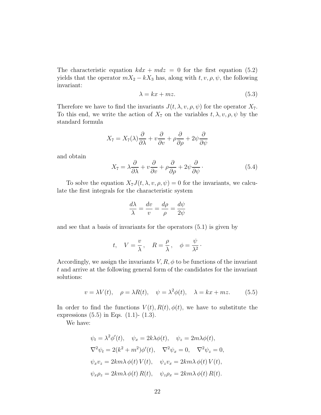The characteristic equation  $kdx + mdz = 0$  for the first equation (5.2) yields that the operator  $mX_2 - kX_3$  has, along with  $t, v, \rho, \psi$ , the following invariant:

$$
\lambda = kx + mz. \tag{5.3}
$$

Therefore we have to find the invariants  $J(t, \lambda, v, \rho, \psi)$  for the operator  $X_7$ . To this end, we write the action of  $X_7$  on the variables  $t, \lambda, v, \rho, \psi$  by the standard formula

$$
X_7 = X_7(\lambda)\frac{\partial}{\partial \lambda} + v\frac{\partial}{\partial v} + \rho\frac{\partial}{\partial \rho} + 2\psi\frac{\partial}{\partial \psi}
$$

and obtain

$$
X_7 = \lambda \frac{\partial}{\partial \lambda} + v \frac{\partial}{\partial v} + \rho \frac{\partial}{\partial \rho} + 2\psi \frac{\partial}{\partial \psi}.
$$
 (5.4)

To solve the equation  $X_7J(t, \lambda, v, \rho, \psi) = 0$  for the invariants, we calculate the first integrals for the characteristic system

$$
\frac{d\lambda}{\lambda} = \frac{dv}{v} = \frac{d\rho}{\rho} = \frac{d\psi}{2\psi}
$$

and see that a basis of invariants for the operators (5.1) is given by

$$
t, V = \frac{v}{\lambda}, R = \frac{\rho}{\lambda}, \phi = \frac{\psi}{\lambda^2}.
$$

Accordingly, we assign the invariants  $V, R, \phi$  to be functions of the invariant t and arrive at the following general form of the candidates for the invariant solutions:

$$
v = \lambda V(t), \quad \rho = \lambda R(t), \quad \psi = \lambda^2 \phi(t), \quad \lambda = kx + mz. \tag{5.5}
$$

In order to find the functions  $V(t)$ ,  $R(t)$ ,  $\phi(t)$ , we have to substitute the expressions  $(5.5)$  in Eqs.  $(1.1)$ -  $(1.3)$ .

We have:

$$
\psi_t = \lambda^2 \phi'(t), \quad \psi_x = 2k\lambda \phi(t), \quad \psi_z = 2m\lambda \phi(t),
$$
  

$$
\nabla^2 \psi_t = 2(k^2 + m^2)\phi'(t), \quad \nabla^2 \psi_x = 0, \quad \nabla^2 \psi_z = 0,
$$
  

$$
\psi_x v_z = 2km\lambda \phi(t) V(t), \quad \psi_z v_x = 2km\lambda \phi(t) V(t),
$$
  

$$
\psi_x \rho_z = 2km\lambda \phi(t) R(t), \quad \psi_z \rho_x = 2km\lambda \phi(t) R(t).
$$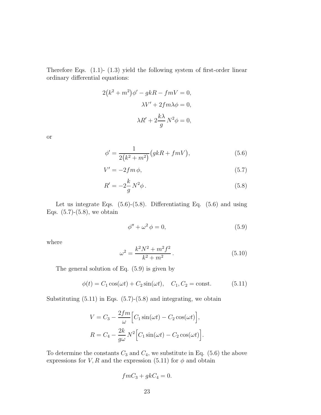Therefore Eqs. (1.1)- (1.3) yield the following system of first-order linear ordinary differential equations:

$$
2(k2 + m2)\phi' - gkR - fmV = 0,
$$
  

$$
\lambda V' + 2fm\lambda\phi = 0,
$$
  

$$
\lambda R' + 2\frac{k\lambda}{g}N^{2}\phi = 0,
$$

or

$$
\phi' = \frac{1}{2(k^2 + m^2)} (gkR + fmV), \tag{5.6}
$$

$$
V' = -2fm \,\phi,\tag{5.7}
$$

$$
R' = -2\frac{k}{g}N^2\phi\,. \tag{5.8}
$$

Let us integrate Eqs.  $(5.6)-(5.8)$ . Differentiating Eq.  $(5.6)$  and using Eqs.  $(5.7)-(5.8)$ , we obtain

$$
\phi'' + \omega^2 \phi = 0,\tag{5.9}
$$

where

$$
\omega^2 = \frac{k^2 N^2 + m^2 f^2}{k^2 + m^2}.
$$
\n(5.10)

The general solution of Eq. (5.9) is given by

$$
\phi(t) = C_1 \cos(\omega t) + C_2 \sin(\omega t), \quad C_1, C_2 = \text{const.}
$$
 (5.11)

Substituting  $(5.11)$  in Eqs.  $(5.7)-(5.8)$  and integrating, we obtain

$$
V = C_3 - \frac{2fm}{\omega} \Big[ C_1 \sin(\omega t) - C_2 \cos(\omega t) \Big],
$$
  

$$
R = C_4 - \frac{2k}{g\omega} N^2 \Big[ C_1 \sin(\omega t) - C_2 \cos(\omega t) \Big].
$$

To determine the constants  $C_3$  and  $C_4$ , we substitute in Eq. (5.6) the above expressions for V, R and the expression (5.11) for  $\phi$  and obtain

$$
fmC_3 + gkC_4 = 0.
$$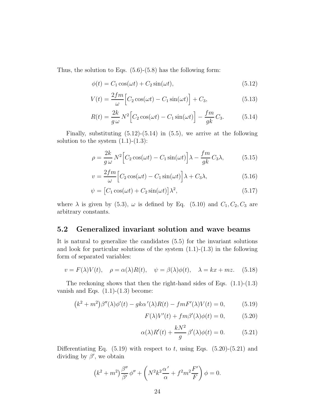Thus, the solution to Eqs. (5.6)-(5.8) has the following form:

$$
\phi(t) = C_1 \cos(\omega t) + C_2 \sin(\omega t),\tag{5.12}
$$

$$
V(t) = \frac{2fm}{\omega} \Big[ C_2 \cos(\omega t) - C_1 \sin(\omega t) \Big] + C_3,
$$
\n(5.13)

$$
R(t) = \frac{2k}{g\omega} N^2 \Big[ C_2 \cos(\omega t) - C_1 \sin(\omega t) \Big] - \frac{fm}{gk} C_3.
$$
 (5.14)

Finally, substituting  $(5.12)-(5.14)$  in  $(5.5)$ , we arrive at the following solution to the system  $(1.1)-(1.3)$ :

$$
\rho = \frac{2k}{g\,\omega} \, N^2 \Big[ C_2 \cos(\omega t) - C_1 \sin(\omega t) \Big] \lambda - \frac{fm}{gk} \, C_3 \lambda,\tag{5.15}
$$

$$
v = \frac{2fm}{\omega} \Big[ C_2 \cos(\omega t) - C_1 \sin(\omega t) \Big] \lambda + C_3 \lambda,
$$
\n(5.16)

$$
\psi = \left[C_1 \cos(\omega t) + C_2 \sin(\omega t)\right] \lambda^2, \tag{5.17}
$$

where  $\lambda$  is given by (5.3),  $\omega$  is defined by Eq. (5.10) and  $C_1, C_2, C_3$  are arbitrary constants.

#### 5.2 Generalized invariant solution and wave beams

It is natural to generalize the candidates (5.5) for the invariant solutions and look for particular solutions of the system  $(1.1)-(1.3)$  in the following form of separated variables:

$$
v = F(\lambda)V(t), \quad \rho = \alpha(\lambda)R(t), \quad \psi = \beta(\lambda)\phi(t), \quad \lambda = kx + mz. \tag{5.18}
$$

The reckoning shows that then the right-hand sides of Eqs.  $(1.1)-(1.3)$ vanish and Eqs.  $(1.1)-(1.3)$  become:

$$
(k2 + m2)\beta''(\lambda)\phi'(t) - g k\alpha'(\lambda)R(t) - f m F'(\lambda)V(t) = 0,
$$
 (5.19)

$$
F(\lambda)V'(t) + fm\beta'(\lambda)\phi(t) = 0, \qquad (5.20)
$$

$$
\alpha(\lambda)R'(t) + \frac{kN^2}{g}\beta'(\lambda)\phi(t) = 0.
$$
 (5.21)

Differentiating Eq.  $(5.19)$  with respect to t, using Eqs.  $(5.20)-(5.21)$  and dividing by  $\beta'$ , we obtain

$$
(k2 + m2)\frac{\beta''}{\beta'}\phi'' + \left(N2k2\frac{\alpha'}{\alpha} + f2m2\frac{F'}{F}\right)\phi = 0.
$$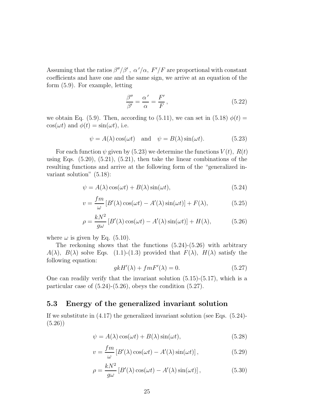Assuming that the ratios  $\beta''/\beta'$ ,  $\alpha'/\alpha$ ,  $F'/F$  are proportional with constant coefficients and have one and the same sign, we arrive at an equation of the form (5.9). For example, letting

$$
\frac{\beta''}{\beta'} = \frac{\alpha'}{\alpha} = \frac{F'}{F},\tag{5.22}
$$

we obtain Eq. (5.9). Then, according to (5.11), we can set in (5.18)  $\phi(t) =$  $\cos(\omega t)$  and  $\phi(t) = \sin(\omega t)$ , i.e.

$$
\psi = A(\lambda) \cos(\omega t)
$$
 and  $\psi = B(\lambda) \sin(\omega t)$ . (5.23)

For each function  $\psi$  given by (5.23) we determine the functions  $V(t)$ ,  $R(t)$ using Eqs.  $(5.20), (5.21), (5.21),$  then take the linear combinations of the resulting functions and arrive at the following form of the "generalized invariant solution" (5.18):

$$
\psi = A(\lambda)\cos(\omega t) + B(\lambda)\sin(\omega t),\tag{5.24}
$$

$$
v = \frac{fm}{\omega} \left[ B'(\lambda) \cos(\omega t) - A'(\lambda) \sin(\omega t) \right] + F(\lambda), \tag{5.25}
$$

$$
\rho = \frac{kN^2}{g\omega} \left[ B'(\lambda) \cos(\omega t) - A'(\lambda) \sin(\omega t) \right] + H(\lambda), \tag{5.26}
$$

where  $\omega$  is given by Eq. (5.10).

The reckoning shows that the functions (5.24)-(5.26) with arbitrary  $A(\lambda)$ ,  $B(\lambda)$  solve Eqs. (1.1)-(1.3) provided that  $F(\lambda)$ ,  $H(\lambda)$  satisfy the following equation:

$$
gkH'(\lambda) + fmF'(\lambda) = 0.
$$
\n(5.27)

One can readily verify that the invariant solution  $(5.15)-(5.17)$ , which is a particular case of  $(5.24)-(5.26)$ , obeys the condition  $(5.27)$ .

#### 5.3 Energy of the generalized invariant solution

If we substitute in (4.17) the generalized invariant solution (see Eqs. (5.24)- (5.26))

$$
\psi = A(\lambda)\cos(\omega t) + B(\lambda)\sin(\omega t),\tag{5.28}
$$

$$
v = \frac{fm}{\omega} \left[ B'(\lambda) \cos(\omega t) - A'(\lambda) \sin(\omega t) \right],\tag{5.29}
$$

$$
\rho = \frac{kN^2}{g\omega} \left[ B'(\lambda) \cos(\omega t) - A'(\lambda) \sin(\omega t) \right],\tag{5.30}
$$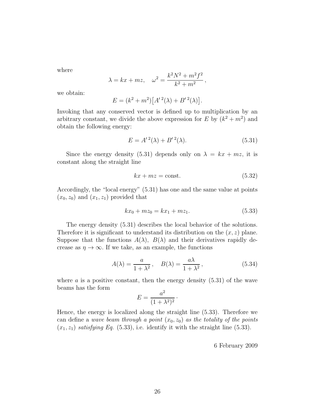where

$$
\lambda = kx + mz
$$
,  $\omega^2 = \frac{k^2 N^2 + m^2 f^2}{k^2 + m^2}$ ,

we obtain:

$$
E = (k^{2} + m^{2}) [A^{\prime 2}(\lambda) + B^{\prime 2}(\lambda)].
$$

Invoking that any conserved vector is defined up to multiplication by an arbitrary constant, we divide the above expression for E by  $(k^2 + m^2)$  and obtain the following energy:

$$
E = A'^2(\lambda) + B'^2(\lambda).
$$
 (5.31)

Since the energy density (5.31) depends only on  $\lambda = kx + mz$ , it is constant along the straight line

$$
kx + mz = \text{const.}\tag{5.32}
$$

Accordingly, the "local energy" (5.31) has one and the same value at points  $(x_0, z_0)$  and  $(x_1, z_1)$  provided that

$$
kx_0 + mz_0 = kx_1 + mz_1. \tag{5.33}
$$

The energy density (5.31) describes the local behavior of the solutions. Therefore it is significant to understand its distribution on the  $(x, z)$  plane. Suppose that the functions  $A(\lambda)$ ,  $B(\lambda)$  and their derivatives rapidly decrease as  $\eta \to \infty$ . If we take, as an example, the functions

$$
A(\lambda) = \frac{a}{1 + \lambda^2}, \quad B(\lambda) = \frac{a\lambda}{1 + \lambda^2}, \tag{5.34}
$$

where  $\alpha$  is a positive constant, then the energy density  $(5.31)$  of the wave beams has the form

$$
E = \frac{a^2}{(1 + \lambda^2)^2}.
$$

Hence, the energy is localized along the straight line (5.33). Therefore we can define a wave beam through a point  $(x_0, z_0)$  as the totality of the points  $(x_1, z_1)$  satisfying Eq. (5.33), i.e. identify it with the straight line (5.33).

6 February 2009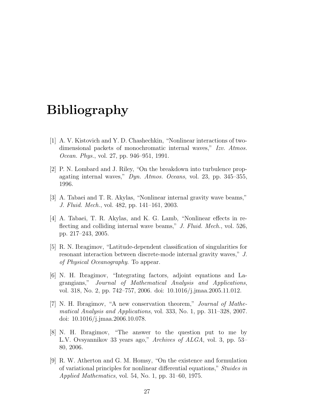# Bibliography

- [1] A. V. Kistovich and Y. D. Chashechkin, "Nonlinear interactions of twodimensional packets of monochromatic internal waves," Izv. Atmos. Ocean. Phys., vol. 27, pp. 946–951, 1991.
- [2] P. N. Lombard and J. Riley, "On the breakdown into turbulence propagating internal waves," Dyn. Atmos. Oceans, vol. 23, pp. 345–355, 1996.
- [3] A. Tabaei and T. R. Akylas, "Nonlinear internal gravity wave beams," J. Fluid. Mech., vol. 482, pp. 141–161, 2003.
- [4] A. Tabaei, T. R. Akylas, and K. G. Lamb, "Nonlinear effects in reflecting and colliding internal wave beams," J. Fluid. Mech., vol. 526, pp. 217–243, 2005.
- [5] R. N. Ibragimov, "Latitude-dependent classification of singularities for resonant interaction between discrete-mode internal gravity waves," J. of Physical Oceanography. To appear.
- [6] N. H. Ibragimov, "Integrating factors, adjoint equations and Lagrangians," Journal of Mathematical Analysis and Applications, vol. 318, No. 2, pp. 742–757, 2006. doi: 10.1016/j.jmaa.2005.11.012.
- [7] N. H. Ibragimov, "A new conservation theorem," Journal of Mathematical Analysis and Applications, vol. 333, No. 1, pp. 311–328, 2007. doi: 10.1016/j.jmaa.2006.10.078.
- [8] N. H. Ibragimov, "The answer to the question put to me by L.V. Ovsyannikov 33 years ago," Archives of ALGA, vol. 3, pp. 53– 80, 2006.
- [9] R. W. Atherton and G. M. Homsy, "On the existence and formulation of variational principles for nonlinear differential equations," Stuides in Applied Mathematics, vol. 54, No. 1, pp. 31–60, 1975.